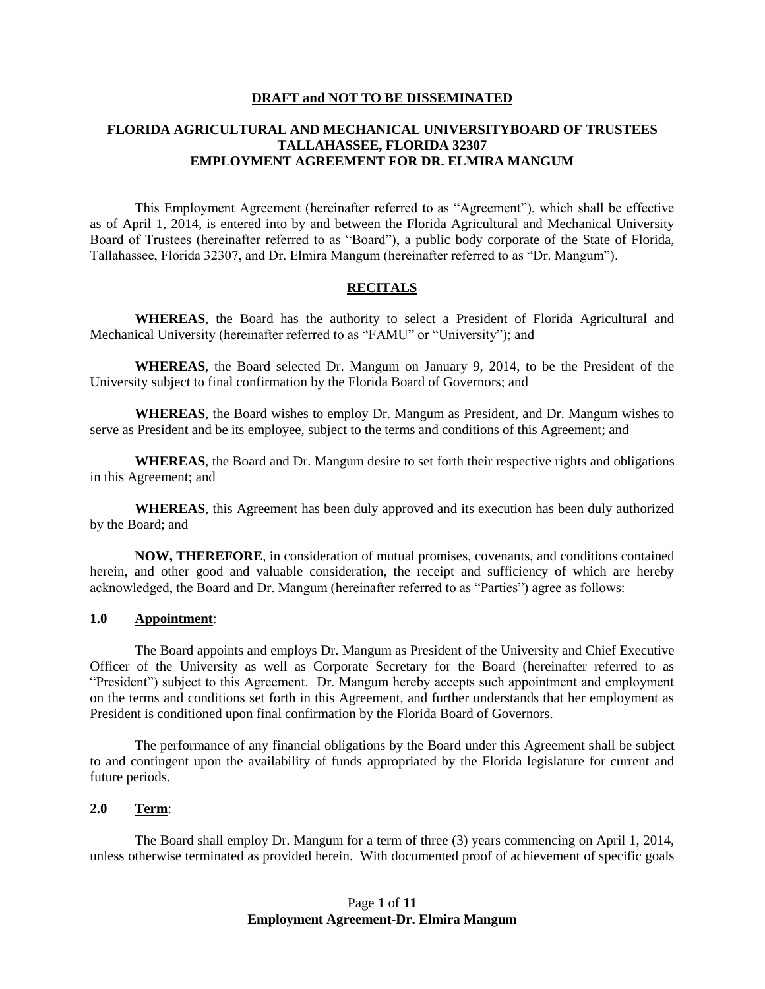#### **DRAFT and NOT TO BE DISSEMINATED**

# **FLORIDA AGRICULTURAL AND MECHANICAL UNIVERSITYBOARD OF TRUSTEES TALLAHASSEE, FLORIDA 32307 EMPLOYMENT AGREEMENT FOR DR. ELMIRA MANGUM**

This Employment Agreement (hereinafter referred to as "Agreement"), which shall be effective as of April 1, 2014, is entered into by and between the Florida Agricultural and Mechanical University Board of Trustees (hereinafter referred to as "Board"), a public body corporate of the State of Florida, Tallahassee, Florida 32307, and Dr. Elmira Mangum (hereinafter referred to as "Dr. Mangum").

### **RECITALS**

**WHEREAS**, the Board has the authority to select a President of Florida Agricultural and Mechanical University (hereinafter referred to as "FAMU" or "University"); and

**WHEREAS**, the Board selected Dr. Mangum on January 9, 2014, to be the President of the University subject to final confirmation by the Florida Board of Governors; and

**WHEREAS**, the Board wishes to employ Dr. Mangum as President, and Dr. Mangum wishes to serve as President and be its employee, subject to the terms and conditions of this Agreement; and

**WHEREAS**, the Board and Dr. Mangum desire to set forth their respective rights and obligations in this Agreement; and

**WHEREAS**, this Agreement has been duly approved and its execution has been duly authorized by the Board; and

**NOW, THEREFORE**, in consideration of mutual promises, covenants, and conditions contained herein, and other good and valuable consideration, the receipt and sufficiency of which are hereby acknowledged, the Board and Dr. Mangum (hereinafter referred to as "Parties") agree as follows:

#### **1.0 Appointment**:

The Board appoints and employs Dr. Mangum as President of the University and Chief Executive Officer of the University as well as Corporate Secretary for the Board (hereinafter referred to as "President") subject to this Agreement. Dr. Mangum hereby accepts such appointment and employment on the terms and conditions set forth in this Agreement, and further understands that her employment as President is conditioned upon final confirmation by the Florida Board of Governors.

The performance of any financial obligations by the Board under this Agreement shall be subject to and contingent upon the availability of funds appropriated by the Florida legislature for current and future periods.

#### **2.0 Term**:

The Board shall employ Dr. Mangum for a term of three (3) years commencing on April 1, 2014, unless otherwise terminated as provided herein. With documented proof of achievement of specific goals

# Page **1** of **11 Employment Agreement-Dr. Elmira Mangum**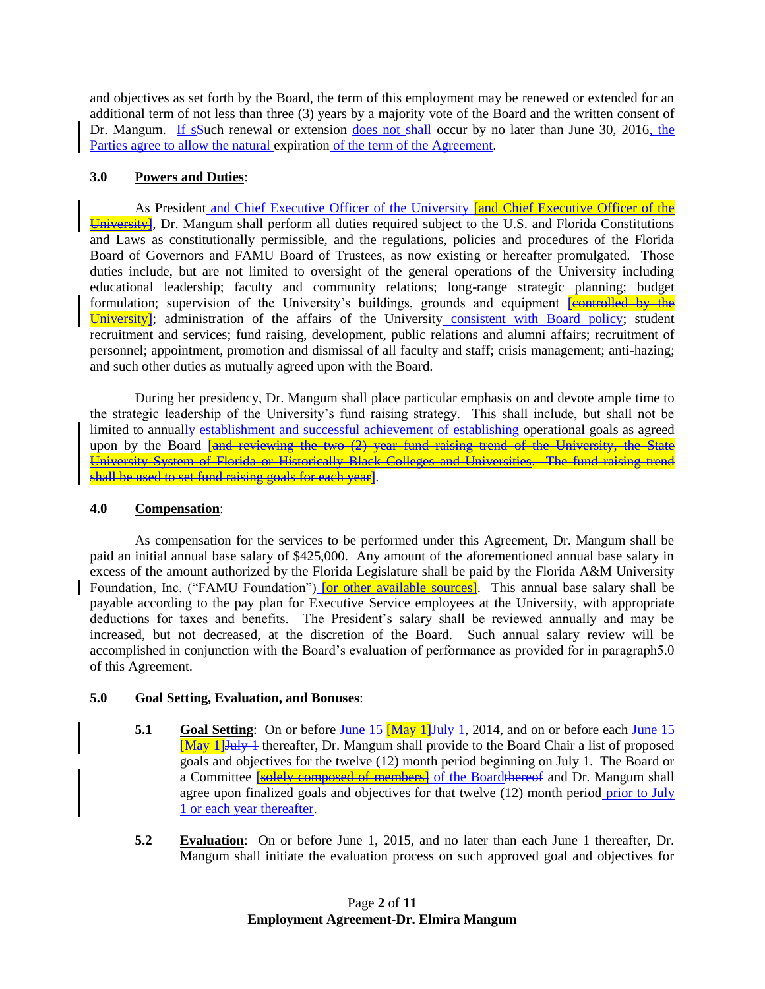and objectives as set forth by the Board, the term of this employment may be renewed or extended for an additional term of not less than three (3) years by a majority vote of the Board and the written consent of Dr. Mangum. If sSuch renewal or extension does not shall occur by no later than June 30, 2016, the Parties agree to allow the natural expiration of the term of the Agreement.

### **3.0 Powers and Duties**:

As President and Chief Executive Officer of the University [and Chief Executive Officer of the University], Dr. Mangum shall perform all duties required subject to the U.S. and Florida Constitutions and Laws as constitutionally permissible, and the regulations, policies and procedures of the Florida Board of Governors and FAMU Board of Trustees, as now existing or hereafter promulgated. Those duties include, but are not limited to oversight of the general operations of the University including educational leadership; faculty and community relations; long-range strategic planning; budget formulation; supervision of the University's buildings, grounds and equipment **[controlled by the** University]; administration of the affairs of the University consistent with Board policy; student recruitment and services; fund raising, development, public relations and alumni affairs; recruitment of personnel; appointment, promotion and dismissal of all faculty and staff; crisis management; anti-hazing; and such other duties as mutually agreed upon with the Board.

During her presidency, Dr. Mangum shall place particular emphasis on and devote ample time to the strategic leadership of the University's fund raising strategy. This shall include, but shall not be limited to annually establishment and successful achievement of establishing operational goals as agreed upon by the Board *[and reviewing the two (2) year fund raising trend of the University, the State* University System of Florida or Historically Black Colleges and Universities. The fund raising trend shall be used to set fund raising goals for each year].

# **4.0 Compensation**:

As compensation for the services to be performed under this Agreement, Dr. Mangum shall be paid an initial annual base salary of \$425,000. Any amount of the aforementioned annual base salary in excess of the amount authorized by the Florida Legislature shall be paid by the Florida A&M University Foundation, Inc. ("FAMU Foundation") **[or other available sources]**. This annual base salary shall be payable according to the pay plan for Executive Service employees at the University, with appropriate deductions for taxes and benefits. The President's salary shall be reviewed annually and may be increased, but not decreased, at the discretion of the Board. Such annual salary review will be accomplished in conjunction with the Board's evaluation of performance as provided for in paragraph5.0 of this Agreement.

# **5.0 Goal Setting, Evaluation, and Bonuses**:

- **5.1 Goal Setting**: On or before June 15 [May 1]  $\frac{1}{4}$  [May 1]  $\frac{1}{4}$  (and on or before each June 15  $\left[\text{May 1}\right]\text{Huly-1}$  thereafter, Dr. Mangum shall provide to the Board Chair a list of proposed goals and objectives for the twelve (12) month period beginning on July 1. The Board or a Committee **[solely composed of members]** of the Boardthereof and Dr. Mangum shall agree upon finalized goals and objectives for that twelve (12) month period prior to July 1 or each year thereafter.
- **5.2 Evaluation**: On or before June 1, 2015, and no later than each June 1 thereafter, Dr. Mangum shall initiate the evaluation process on such approved goal and objectives for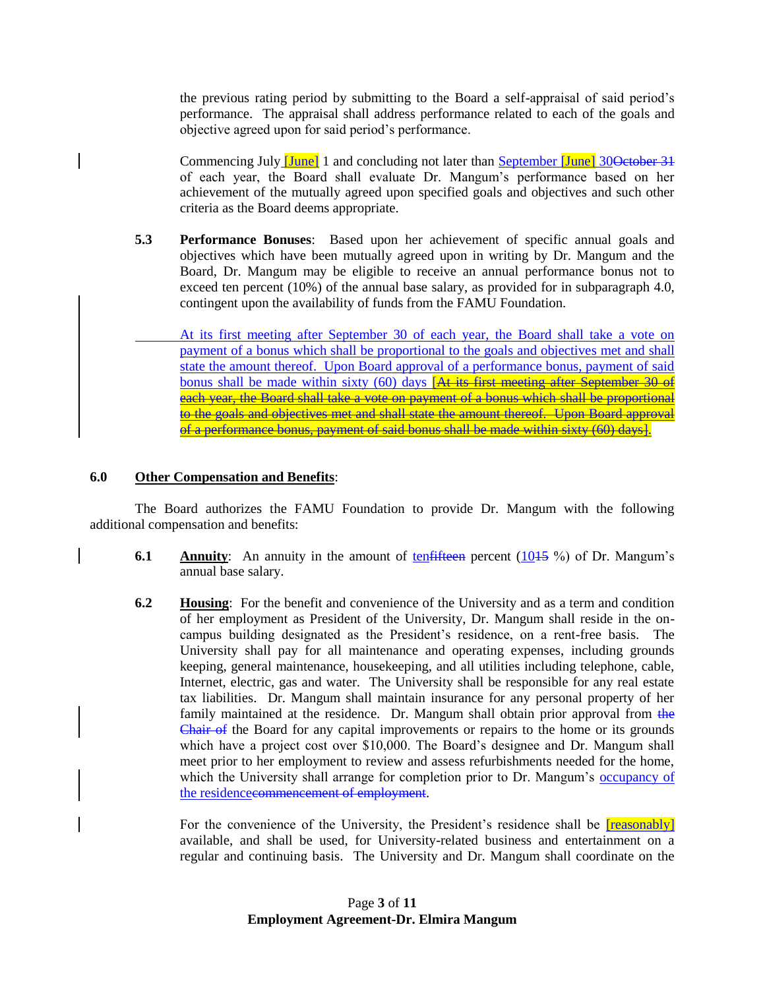the previous rating period by submitting to the Board a self-appraisal of said period's performance. The appraisal shall address performance related to each of the goals and objective agreed upon for said period's performance.

Commencing July *[June]* 1 and concluding not later than September *[June]* 30<del>October 31</del> of each year, the Board shall evaluate Dr. Mangum's performance based on her achievement of the mutually agreed upon specified goals and objectives and such other criteria as the Board deems appropriate.

**5.3 Performance Bonuses**: Based upon her achievement of specific annual goals and objectives which have been mutually agreed upon in writing by Dr. Mangum and the Board, Dr. Mangum may be eligible to receive an annual performance bonus not to exceed ten percent (10%) of the annual base salary, as provided for in subparagraph 4.0, contingent upon the availability of funds from the FAMU Foundation.

At its first meeting after September 30 of each year, the Board shall take a vote on payment of a bonus which shall be proportional to the goals and objectives met and shall state the amount thereof. Upon Board approval of a performance bonus, payment of said bonus shall be made within sixty (60) days **[At its first meeting after September 30 of** each year, the Board shall take a vote on payment of a bonus which shall be proportional to the goals and objectives met and shall state the amount thereof. Upon Board approval of a performance bonus, payment of said bonus shall be made within sixty (60) days].

### **6.0 Other Compensation and Benefits**:

The Board authorizes the FAMU Foundation to provide Dr. Mangum with the following additional compensation and benefits:

- **6.1** Annuity: An annuity in the amount of tenfifteen percent (1045 %) of Dr. Mangum's annual base salary.
- **6.2 Housing**: For the benefit and convenience of the University and as a term and condition of her employment as President of the University, Dr. Mangum shall reside in the oncampus building designated as the President's residence, on a rent-free basis. The University shall pay for all maintenance and operating expenses, including grounds keeping, general maintenance, housekeeping, and all utilities including telephone, cable, Internet, electric, gas and water. The University shall be responsible for any real estate tax liabilities. Dr. Mangum shall maintain insurance for any personal property of her family maintained at the residence. Dr. Mangum shall obtain prior approval from the Chair of the Board for any capital improvements or repairs to the home or its grounds which have a project cost over \$10,000. The Board's designee and Dr. Mangum shall meet prior to her employment to review and assess refurbishments needed for the home, which the University shall arrange for completion prior to Dr. Mangum's occupancy of the residencecommencement of employment.

For the convenience of the University, the President's residence shall be **[reasonably]** available, and shall be used, for University-related business and entertainment on a regular and continuing basis. The University and Dr. Mangum shall coordinate on the

# Page **3** of **11 Employment Agreement-Dr. Elmira Mangum**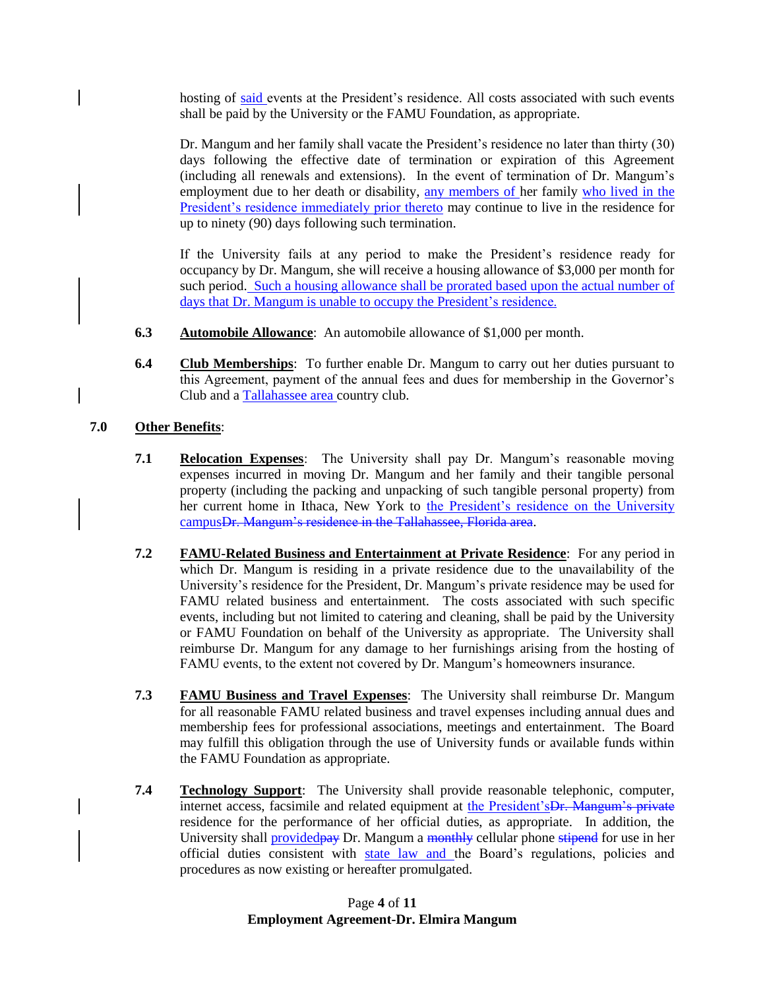hosting of said events at the President's residence. All costs associated with such events shall be paid by the University or the FAMU Foundation, as appropriate.

Dr. Mangum and her family shall vacate the President's residence no later than thirty (30) days following the effective date of termination or expiration of this Agreement (including all renewals and extensions). In the event of termination of Dr. Mangum's employment due to her death or disability, any members of her family who lived in the President's residence immediately prior thereto may continue to live in the residence for up to ninety (90) days following such termination.

If the University fails at any period to make the President's residence ready for occupancy by Dr. Mangum, she will receive a housing allowance of \$3,000 per month for such period. Such a housing allowance shall be prorated based upon the actual number of days that Dr. Mangum is unable to occupy the President's residence.

- **6.3 Automobile Allowance**: An automobile allowance of \$1,000 per month.
- **6.4 Club Memberships**: To further enable Dr. Mangum to carry out her duties pursuant to this Agreement, payment of the annual fees and dues for membership in the Governor's Club and a Tallahassee area country club.

# **7.0 Other Benefits**:

- **7.1 Relocation Expenses**: The University shall pay Dr. Mangum's reasonable moving expenses incurred in moving Dr. Mangum and her family and their tangible personal property (including the packing and unpacking of such tangible personal property) from her current home in Ithaca, New York to the President's residence on the University campusDr. Mangum's residence in the Tallahassee, Florida area.
- **7.2 FAMU-Related Business and Entertainment at Private Residence**: For any period in which Dr. Mangum is residing in a private residence due to the unavailability of the University's residence for the President, Dr. Mangum's private residence may be used for FAMU related business and entertainment. The costs associated with such specific events, including but not limited to catering and cleaning, shall be paid by the University or FAMU Foundation on behalf of the University as appropriate. The University shall reimburse Dr. Mangum for any damage to her furnishings arising from the hosting of FAMU events, to the extent not covered by Dr. Mangum's homeowners insurance.
- **7.3 FAMU Business and Travel Expenses**: The University shall reimburse Dr. Mangum for all reasonable FAMU related business and travel expenses including annual dues and membership fees for professional associations, meetings and entertainment. The Board may fulfill this obligation through the use of University funds or available funds within the FAMU Foundation as appropriate.
- **7.4 Technology Support**: The University shall provide reasonable telephonic, computer, internet access, facsimile and related equipment at the President'sDr. Mangum's private residence for the performance of her official duties, as appropriate. In addition, the University shall **providedpay** Dr. Mangum a monthly cellular phone stipend for use in her official duties consistent with state law and the Board's regulations, policies and procedures as now existing or hereafter promulgated.

# Page **4** of **11 Employment Agreement-Dr. Elmira Mangum**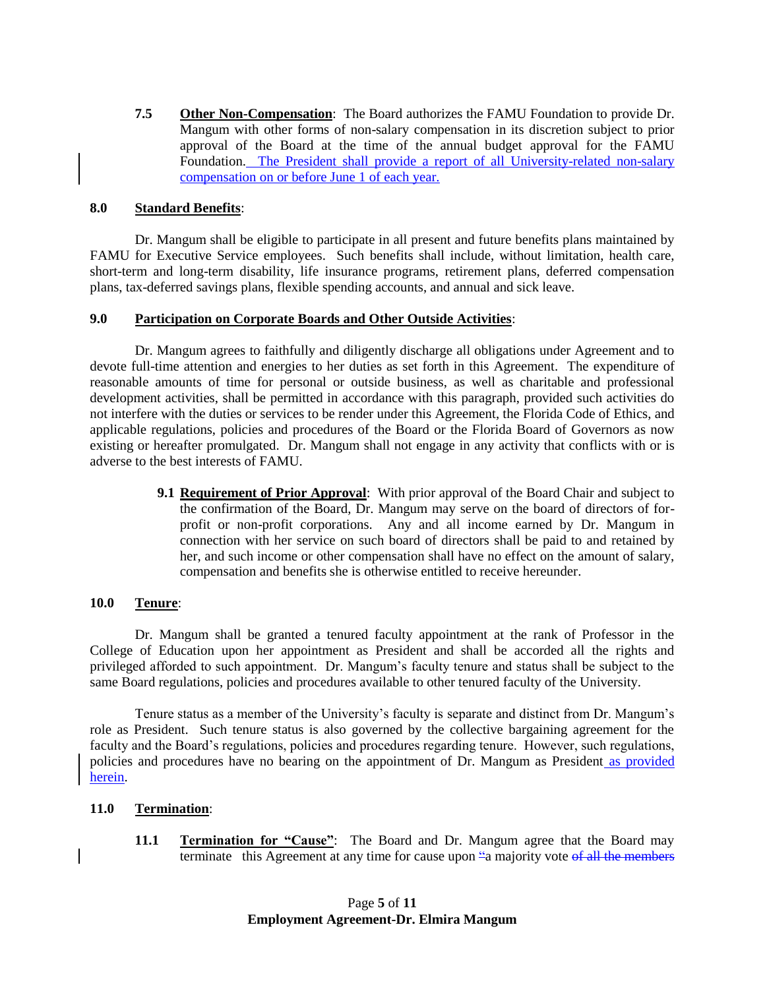**7.5 Other Non-Compensation**: The Board authorizes the FAMU Foundation to provide Dr. Mangum with other forms of non-salary compensation in its discretion subject to prior approval of the Board at the time of the annual budget approval for the FAMU Foundation. The President shall provide a report of all University-related non-salary compensation on or before June 1 of each year.

### **8.0 Standard Benefits**:

Dr. Mangum shall be eligible to participate in all present and future benefits plans maintained by FAMU for Executive Service employees. Such benefits shall include, without limitation, health care, short-term and long-term disability, life insurance programs, retirement plans, deferred compensation plans, tax-deferred savings plans, flexible spending accounts, and annual and sick leave.

### **9.0 Participation on Corporate Boards and Other Outside Activities**:

Dr. Mangum agrees to faithfully and diligently discharge all obligations under Agreement and to devote full-time attention and energies to her duties as set forth in this Agreement. The expenditure of reasonable amounts of time for personal or outside business, as well as charitable and professional development activities, shall be permitted in accordance with this paragraph, provided such activities do not interfere with the duties or services to be render under this Agreement, the Florida Code of Ethics, and applicable regulations, policies and procedures of the Board or the Florida Board of Governors as now existing or hereafter promulgated. Dr. Mangum shall not engage in any activity that conflicts with or is adverse to the best interests of FAMU.

> **9.1 Requirement of Prior Approval:** With prior approval of the Board Chair and subject to the confirmation of the Board, Dr. Mangum may serve on the board of directors of forprofit or non-profit corporations. Any and all income earned by Dr. Mangum in connection with her service on such board of directors shall be paid to and retained by her, and such income or other compensation shall have no effect on the amount of salary, compensation and benefits she is otherwise entitled to receive hereunder.

### **10.0 Tenure**:

Dr. Mangum shall be granted a tenured faculty appointment at the rank of Professor in the College of Education upon her appointment as President and shall be accorded all the rights and privileged afforded to such appointment. Dr. Mangum's faculty tenure and status shall be subject to the same Board regulations, policies and procedures available to other tenured faculty of the University.

Tenure status as a member of the University's faculty is separate and distinct from Dr. Mangum's role as President. Such tenure status is also governed by the collective bargaining agreement for the faculty and the Board's regulations, policies and procedures regarding tenure. However, such regulations, policies and procedures have no bearing on the appointment of Dr. Mangum as President as provided herein.

# **11.0 Termination**:

**11.1 Termination for "Cause"**: The Board and Dr. Mangum agree that the Board may terminate this Agreement at any time for cause upon "a majority vote of all the members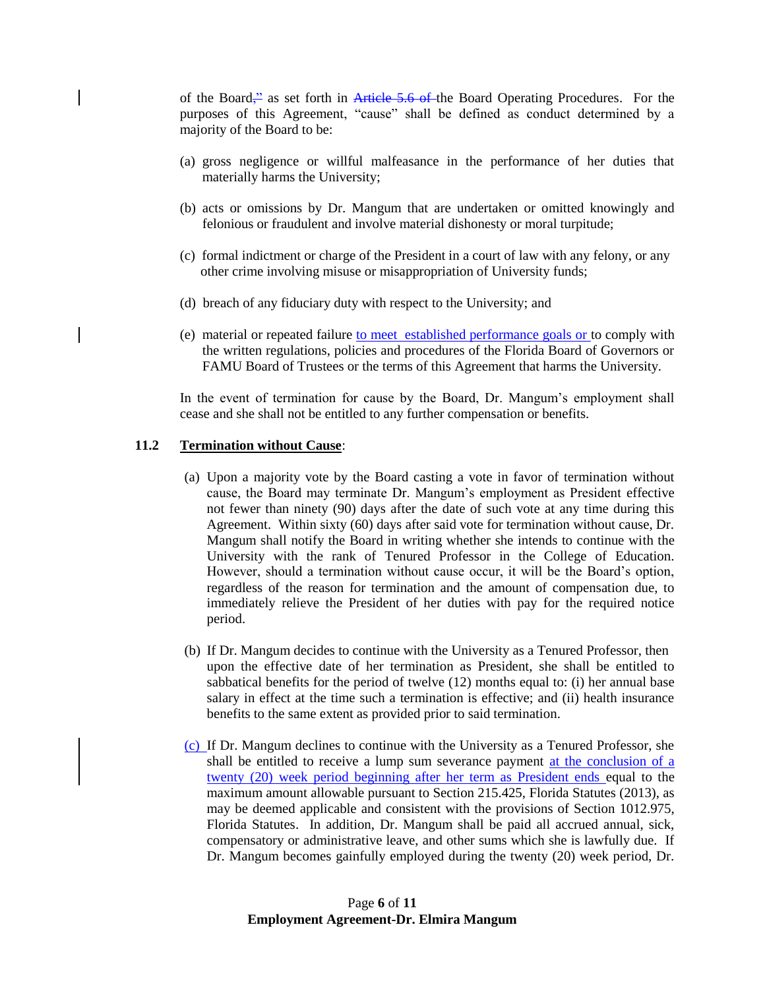of the Board," as set forth in Article  $5.6$  of the Board Operating Procedures. For the purposes of this Agreement, "cause" shall be defined as conduct determined by a majority of the Board to be:

- (a) gross negligence or willful malfeasance in the performance of her duties that materially harms the University;
- (b) acts or omissions by Dr. Mangum that are undertaken or omitted knowingly and felonious or fraudulent and involve material dishonesty or moral turpitude;
- (c) formal indictment or charge of the President in a court of law with any felony, or any other crime involving misuse or misappropriation of University funds;
- (d) breach of any fiduciary duty with respect to the University; and
- (e) material or repeated failure to meet established performance goals or to comply with the written regulations, policies and procedures of the Florida Board of Governors or FAMU Board of Trustees or the terms of this Agreement that harms the University.

In the event of termination for cause by the Board, Dr. Mangum's employment shall cease and she shall not be entitled to any further compensation or benefits.

#### **11.2 Termination without Cause**:

- (a) Upon a majority vote by the Board casting a vote in favor of termination without cause, the Board may terminate Dr. Mangum's employment as President effective not fewer than ninety (90) days after the date of such vote at any time during this Agreement. Within sixty (60) days after said vote for termination without cause, Dr. Mangum shall notify the Board in writing whether she intends to continue with the University with the rank of Tenured Professor in the College of Education. However, should a termination without cause occur, it will be the Board's option, regardless of the reason for termination and the amount of compensation due, to immediately relieve the President of her duties with pay for the required notice period.
- (b) If Dr. Mangum decides to continue with the University as a Tenured Professor, then upon the effective date of her termination as President, she shall be entitled to sabbatical benefits for the period of twelve (12) months equal to: (i) her annual base salary in effect at the time such a termination is effective; and (ii) health insurance benefits to the same extent as provided prior to said termination.
- (c) If Dr. Mangum declines to continue with the University as a Tenured Professor, she shall be entitled to receive a lump sum severance payment at the conclusion of a twenty (20) week period beginning after her term as President ends equal to the maximum amount allowable pursuant to Section 215.425, Florida Statutes (2013), as may be deemed applicable and consistent with the provisions of Section 1012.975, Florida Statutes. In addition, Dr. Mangum shall be paid all accrued annual, sick, compensatory or administrative leave, and other sums which she is lawfully due. If Dr. Mangum becomes gainfully employed during the twenty (20) week period, Dr.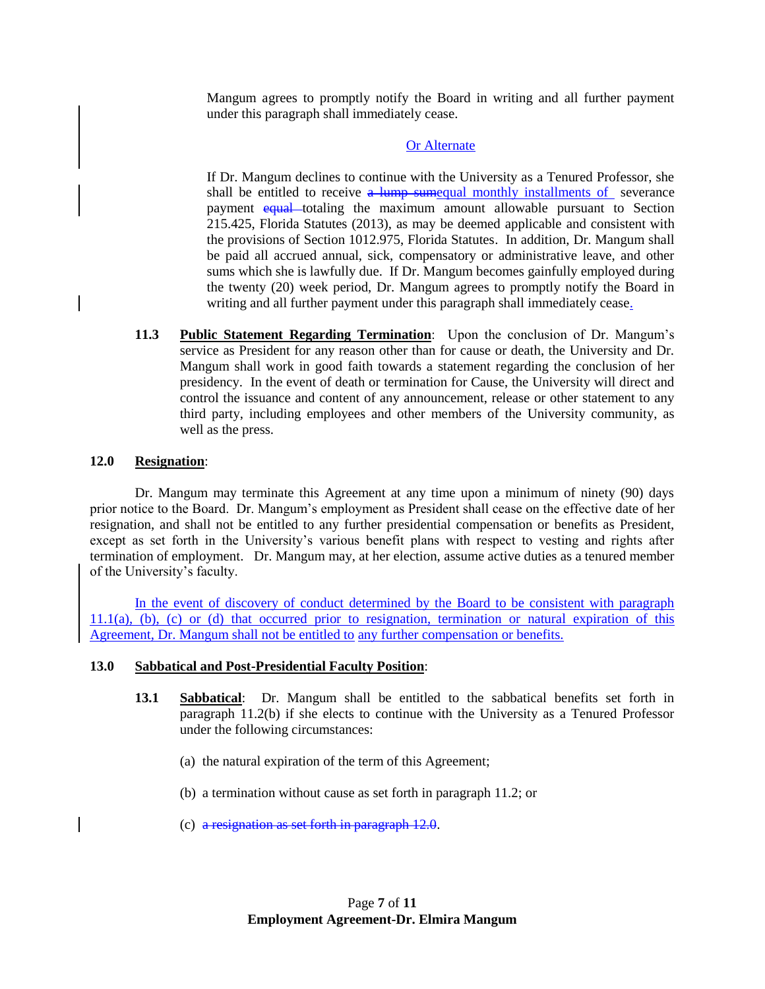Mangum agrees to promptly notify the Board in writing and all further payment under this paragraph shall immediately cease.

# Or Alternate

If Dr. Mangum declines to continue with the University as a Tenured Professor, she shall be entitled to receive a lump sumequal monthly installments of severance payment equal totaling the maximum amount allowable pursuant to Section 215.425, Florida Statutes (2013), as may be deemed applicable and consistent with the provisions of Section 1012.975, Florida Statutes. In addition, Dr. Mangum shall be paid all accrued annual, sick, compensatory or administrative leave, and other sums which she is lawfully due. If Dr. Mangum becomes gainfully employed during the twenty (20) week period, Dr. Mangum agrees to promptly notify the Board in writing and all further payment under this paragraph shall immediately cease.

**11.3 Public Statement Regarding Termination**: Upon the conclusion of Dr. Mangum's service as President for any reason other than for cause or death, the University and Dr. Mangum shall work in good faith towards a statement regarding the conclusion of her presidency. In the event of death or termination for Cause, the University will direct and control the issuance and content of any announcement, release or other statement to any third party, including employees and other members of the University community, as well as the press.

# **12.0 Resignation**:

Dr. Mangum may terminate this Agreement at any time upon a minimum of ninety (90) days prior notice to the Board. Dr. Mangum's employment as President shall cease on the effective date of her resignation, and shall not be entitled to any further presidential compensation or benefits as President, except as set forth in the University's various benefit plans with respect to vesting and rights after termination of employment. Dr. Mangum may, at her election, assume active duties as a tenured member of the University's faculty.

In the event of discovery of conduct determined by the Board to be consistent with paragraph 11.1(a), (b), (c) or (d) that occurred prior to resignation, termination or natural expiration of this Agreement, Dr. Mangum shall not be entitled to any further compensation or benefits.

### **13.0 Sabbatical and Post-Presidential Faculty Position**:

- **13.1 Sabbatical**: Dr. Mangum shall be entitled to the sabbatical benefits set forth in paragraph 11.2(b) if she elects to continue with the University as a Tenured Professor under the following circumstances:
	- (a) the natural expiration of the term of this Agreement;
	- (b) a termination without cause as set forth in paragraph 11.2; or
	- (c) a resignation as set forth in paragraph 12.0.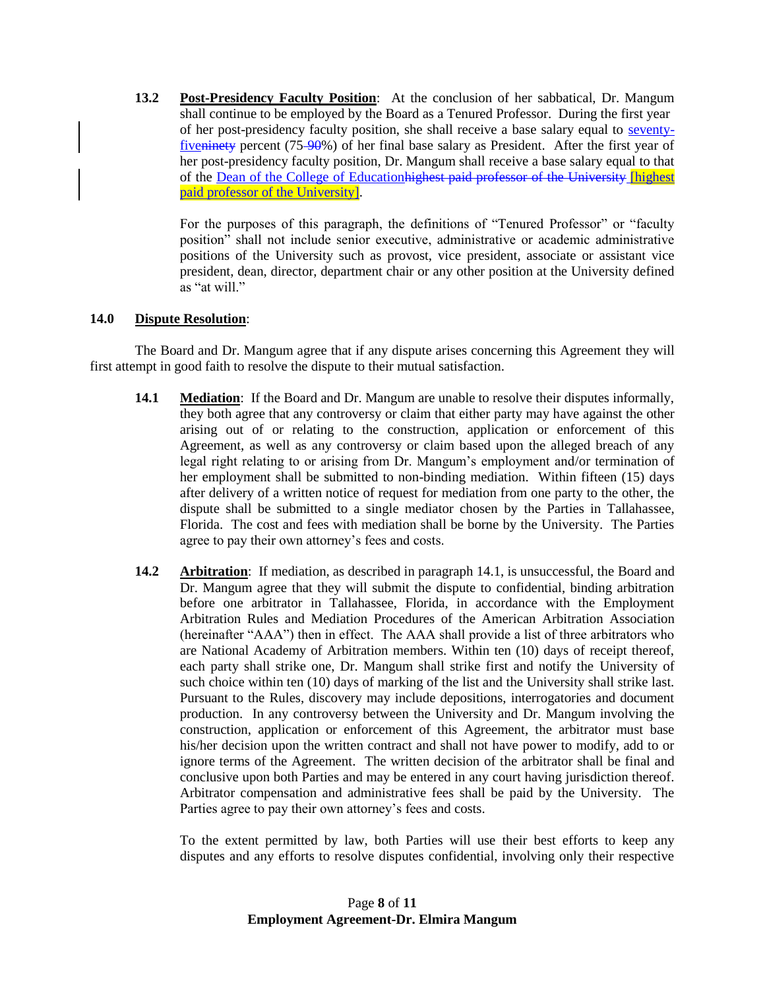**13.2 Post-Presidency Faculty Position**: At the conclusion of her sabbatical, Dr. Mangum shall continue to be employed by the Board as a Tenured Professor. During the first year of her post-presidency faculty position, she shall receive a base salary equal to seventyfiveninety percent (75 90%) of her final base salary as President. After the first year of her post-presidency faculty position, Dr. Mangum shall receive a base salary equal to that of the Dean of the College of Educationhighest paid professor of the University [highest paid professor of the University].

For the purposes of this paragraph, the definitions of "Tenured Professor" or "faculty position" shall not include senior executive, administrative or academic administrative positions of the University such as provost, vice president, associate or assistant vice president, dean, director, department chair or any other position at the University defined as "at will."

### **14.0 Dispute Resolution**:

The Board and Dr. Mangum agree that if any dispute arises concerning this Agreement they will first attempt in good faith to resolve the dispute to their mutual satisfaction.

- **14.1 Mediation**: If the Board and Dr. Mangum are unable to resolve their disputes informally, they both agree that any controversy or claim that either party may have against the other arising out of or relating to the construction, application or enforcement of this Agreement, as well as any controversy or claim based upon the alleged breach of any legal right relating to or arising from Dr. Mangum's employment and/or termination of her employment shall be submitted to non-binding mediation. Within fifteen (15) days after delivery of a written notice of request for mediation from one party to the other, the dispute shall be submitted to a single mediator chosen by the Parties in Tallahassee, Florida. The cost and fees with mediation shall be borne by the University. The Parties agree to pay their own attorney's fees and costs.
- **14.2 Arbitration**: If mediation, as described in paragraph 14.1, is unsuccessful, the Board and Dr. Mangum agree that they will submit the dispute to confidential, binding arbitration before one arbitrator in Tallahassee, Florida, in accordance with the Employment Arbitration Rules and Mediation Procedures of the American Arbitration Association (hereinafter "AAA") then in effect. The AAA shall provide a list of three arbitrators who are National Academy of Arbitration members. Within ten (10) days of receipt thereof, each party shall strike one, Dr. Mangum shall strike first and notify the University of such choice within ten (10) days of marking of the list and the University shall strike last. Pursuant to the Rules, discovery may include depositions, interrogatories and document production. In any controversy between the University and Dr. Mangum involving the construction, application or enforcement of this Agreement, the arbitrator must base his/her decision upon the written contract and shall not have power to modify, add to or ignore terms of the Agreement. The written decision of the arbitrator shall be final and conclusive upon both Parties and may be entered in any court having jurisdiction thereof. Arbitrator compensation and administrative fees shall be paid by the University. The Parties agree to pay their own attorney's fees and costs.

To the extent permitted by law, both Parties will use their best efforts to keep any disputes and any efforts to resolve disputes confidential, involving only their respective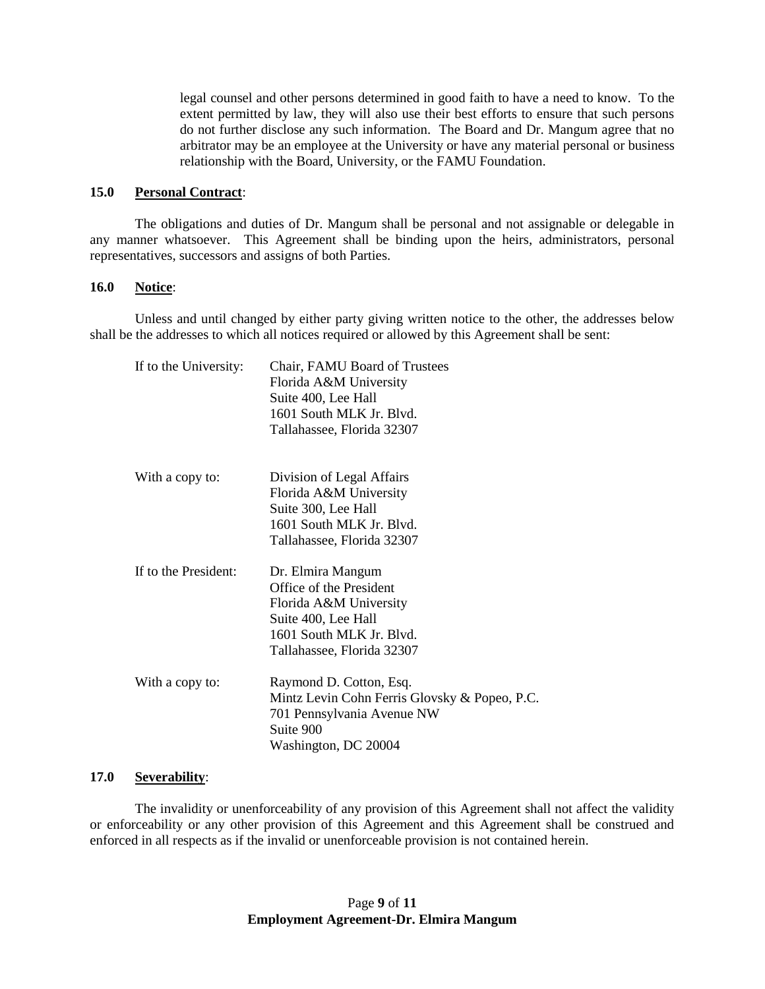legal counsel and other persons determined in good faith to have a need to know. To the extent permitted by law, they will also use their best efforts to ensure that such persons do not further disclose any such information. The Board and Dr. Mangum agree that no arbitrator may be an employee at the University or have any material personal or business relationship with the Board, University, or the FAMU Foundation.

### **15.0 Personal Contract**:

The obligations and duties of Dr. Mangum shall be personal and not assignable or delegable in any manner whatsoever. This Agreement shall be binding upon the heirs, administrators, personal representatives, successors and assigns of both Parties.

### **16.0 Notice**:

Unless and until changed by either party giving written notice to the other, the addresses below shall be the addresses to which all notices required or allowed by this Agreement shall be sent:

| If to the University: | Chair, FAMU Board of Trustees<br>Florida A&M University<br>Suite 400, Lee Hall<br>1601 South MLK Jr. Blvd.<br>Tallahassee, Florida 32307                |
|-----------------------|---------------------------------------------------------------------------------------------------------------------------------------------------------|
| With a copy to:       | Division of Legal Affairs<br>Florida A&M University<br>Suite 300, Lee Hall<br>1601 South MLK Jr. Blvd.<br>Tallahassee, Florida 32307                    |
| If to the President:  | Dr. Elmira Mangum<br>Office of the President<br>Florida A&M University<br>Suite 400, Lee Hall<br>1601 South MLK Jr. Blvd.<br>Tallahassee, Florida 32307 |
| With a copy to:       | Raymond D. Cotton, Esq.<br>Mintz Levin Cohn Ferris Glovsky & Popeo, P.C.<br>701 Pennsylvania Avenue NW<br>Suite 900<br>Washington, DC 20004             |

### **17.0 Severability**:

The invalidity or unenforceability of any provision of this Agreement shall not affect the validity or enforceability or any other provision of this Agreement and this Agreement shall be construed and enforced in all respects as if the invalid or unenforceable provision is not contained herein.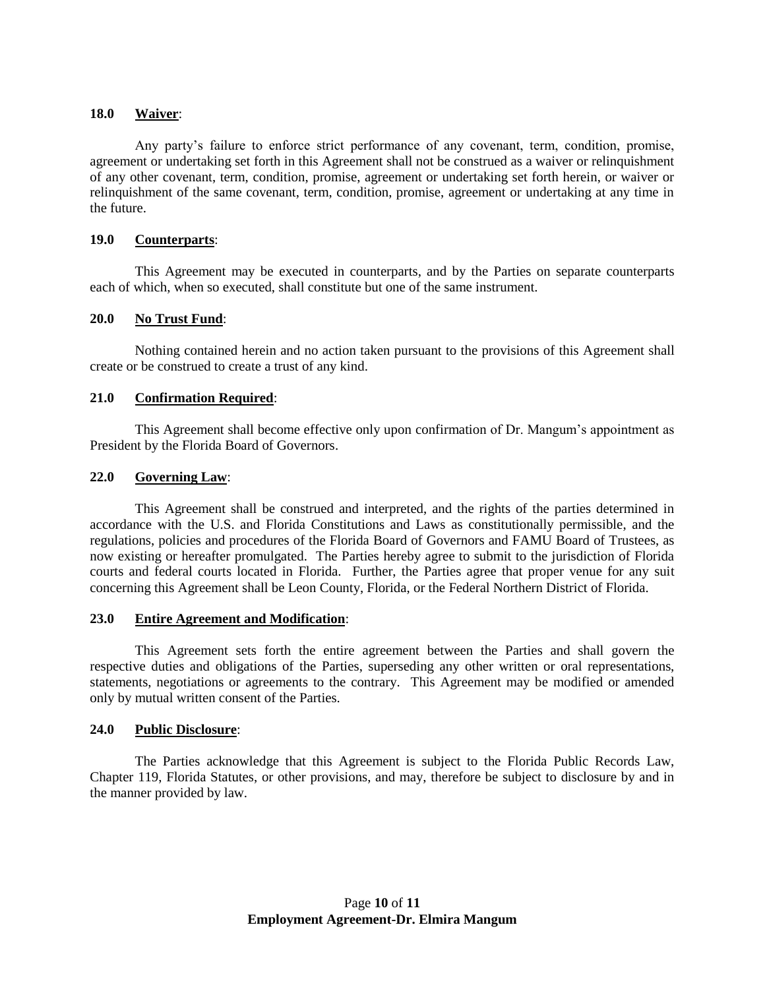### **18.0 Waiver**:

Any party's failure to enforce strict performance of any covenant, term, condition, promise, agreement or undertaking set forth in this Agreement shall not be construed as a waiver or relinquishment of any other covenant, term, condition, promise, agreement or undertaking set forth herein, or waiver or relinquishment of the same covenant, term, condition, promise, agreement or undertaking at any time in the future.

### **19.0 Counterparts**:

This Agreement may be executed in counterparts, and by the Parties on separate counterparts each of which, when so executed, shall constitute but one of the same instrument.

### **20.0 No Trust Fund**:

Nothing contained herein and no action taken pursuant to the provisions of this Agreement shall create or be construed to create a trust of any kind.

#### **21.0 Confirmation Required**:

This Agreement shall become effective only upon confirmation of Dr. Mangum's appointment as President by the Florida Board of Governors.

#### **22.0 Governing Law**:

This Agreement shall be construed and interpreted, and the rights of the parties determined in accordance with the U.S. and Florida Constitutions and Laws as constitutionally permissible, and the regulations, policies and procedures of the Florida Board of Governors and FAMU Board of Trustees, as now existing or hereafter promulgated. The Parties hereby agree to submit to the jurisdiction of Florida courts and federal courts located in Florida. Further, the Parties agree that proper venue for any suit concerning this Agreement shall be Leon County, Florida, or the Federal Northern District of Florida.

#### **23.0 Entire Agreement and Modification**:

This Agreement sets forth the entire agreement between the Parties and shall govern the respective duties and obligations of the Parties, superseding any other written or oral representations, statements, negotiations or agreements to the contrary. This Agreement may be modified or amended only by mutual written consent of the Parties.

#### **24.0 Public Disclosure**:

The Parties acknowledge that this Agreement is subject to the Florida Public Records Law, Chapter 119, Florida Statutes, or other provisions, and may, therefore be subject to disclosure by and in the manner provided by law.